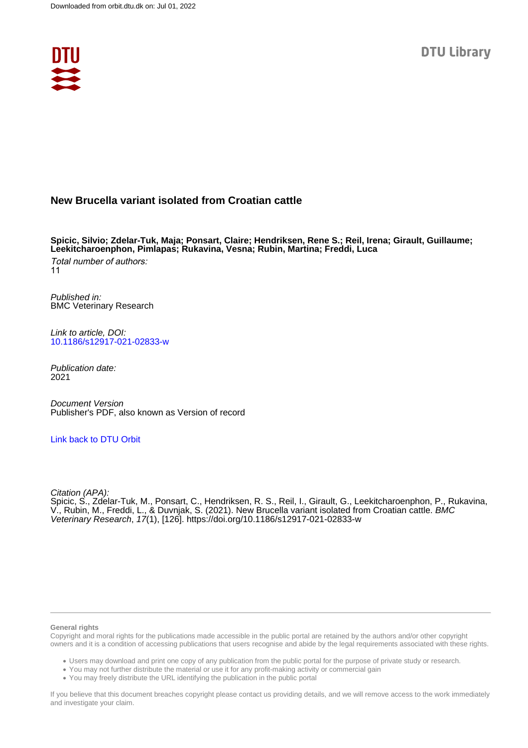

## **New Brucella variant isolated from Croatian cattle**

**Spicic, Silvio; Zdelar-Tuk, Maja; Ponsart, Claire; Hendriksen, Rene S.; Reil, Irena; Girault, Guillaume; Leekitcharoenphon, Pimlapas; Rukavina, Vesna; Rubin, Martina; Freddi, Luca**

Total number of authors: 11

Published in: BMC Veterinary Research

Link to article, DOI: [10.1186/s12917-021-02833-w](https://doi.org/10.1186/s12917-021-02833-w)

Publication date: 2021

Document Version Publisher's PDF, also known as Version of record

#### [Link back to DTU Orbit](https://orbit.dtu.dk/en/publications/a0fee7fe-52b3-4f49-9277-fe79cc930412)

Citation (APA):

Spicic, S., Zdelar-Tuk, M., Ponsart, C., Hendriksen, R. S., Reil, I., Girault, G., Leekitcharoenphon, P., Rukavina, V., Rubin, M., Freddi, L., & Duvnjak, S. (2021). New Brucella variant isolated from Croatian cattle. BMC Veterinary Research, 17(1), [126].<https://doi.org/10.1186/s12917-021-02833-w>

#### **General rights**

Copyright and moral rights for the publications made accessible in the public portal are retained by the authors and/or other copyright owners and it is a condition of accessing publications that users recognise and abide by the legal requirements associated with these rights.

Users may download and print one copy of any publication from the public portal for the purpose of private study or research.

- You may not further distribute the material or use it for any profit-making activity or commercial gain
- You may freely distribute the URL identifying the publication in the public portal

If you believe that this document breaches copyright please contact us providing details, and we will remove access to the work immediately and investigate your claim.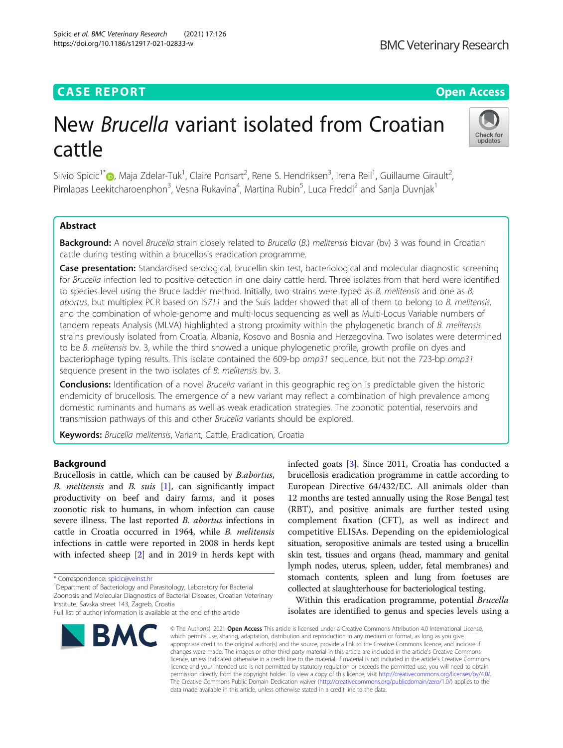Spicic et al. BMC Veterinary Research (2021) 17:126

## **CASE REPORT CASE REPORT CASE REPORT**

# New Brucella variant isolated from Croatian cattle



Silvio Spicic<sup>1\*</sup>®[,](http://orcid.org/0000-0001-8317-5831) Maja Zdelar-Tuk<sup>1</sup>, Claire Ponsart<sup>2</sup>, Rene S. Hendriksen<sup>3</sup>, Irena Reil<sup>1</sup>, Guillaume Girault<sup>2</sup> , Pimlapas Leekitcharoenphon<sup>3</sup>, Vesna Rukavina<sup>4</sup>, Martina Rubin<sup>5</sup>, Luca Freddi<sup>2</sup> and Sanja Duvnjak<sup>1</sup>

### Abstract

Background: A novel Brucella strain closely related to Brucella (B.) melitensis biovar (bv) 3 was found in Croatian cattle during testing within a brucellosis eradication programme.

Case presentation: Standardised serological, brucellin skin test, bacteriological and molecular diagnostic screening for Brucella infection led to positive detection in one dairy cattle herd. Three isolates from that herd were identified to species level using the Bruce ladder method. Initially, two strains were typed as B. melitensis and one as B. abortus, but multiplex PCR based on IS711 and the Suis ladder showed that all of them to belong to B. melitensis, and the combination of whole-genome and multi-locus sequencing as well as Multi-Locus Variable numbers of tandem repeats Analysis (MLVA) highlighted a strong proximity within the phylogenetic branch of B. melitensis strains previously isolated from Croatia, Albania, Kosovo and Bosnia and Herzegovina. Two isolates were determined to be B. melitensis bv. 3, while the third showed a unique phylogenetic profile, growth profile on dyes and bacteriophage typing results. This isolate contained the 609-bp omp31 sequence, but not the 723-bp omp31 sequence present in the two isolates of *B. melitensis* bv. 3.

**Conclusions:** Identification of a novel *Brucella* variant in this geographic region is predictable given the historic endemicity of brucellosis. The emergence of a new variant may reflect a combination of high prevalence among domestic ruminants and humans as well as weak eradication strategies. The zoonotic potential, reservoirs and transmission pathways of this and other Brucella variants should be explored.

Keywords: Brucella melitensis, Variant, Cattle, Eradication, Croatia

#### Background

Brucellosis in cattle, which can be caused by B.abortus, B. melitensis and B. suis  $[1]$  $[1]$ , can significantly impact productivity on beef and dairy farms, and it poses zoonotic risk to humans, in whom infection can cause severe illness. The last reported B. abortus infections in cattle in Croatia occurred in 1964, while B. melitensis infections in cattle were reported in 2008 in herds kept with infected sheep [\[2](#page-4-0)] and in 2019 in herds kept with

<sup>1</sup>Department of Bacteriology and Parasitology, Laboratory for Bacterial

Zoonosis and Molecular Diagnostics of Bacterial Diseases, Croatian Veterinary Institute, Savska street 143, Zagreb, Croatia

Full list of author information is available at the end of the article



infected goats [[3\]](#page-4-0). Since 2011, Croatia has conducted a brucellosis eradication programme in cattle according to European Directive 64/432/EC. All animals older than 12 months are tested annually using the Rose Bengal test (RBT), and positive animals are further tested using complement fixation (CFT), as well as indirect and competitive ELISAs. Depending on the epidemiological situation, seropositive animals are tested using a brucellin skin test, tissues and organs (head, mammary and genital lymph nodes, uterus, spleen, udder, fetal membranes) and stomach contents, spleen and lung from foetuses are collected at slaughterhouse for bacteriological testing.

Within this eradication programme, potential Brucella isolates are identified to genus and species levels using a

© The Author(s), 2021 **Open Access** This article is licensed under a Creative Commons Attribution 4.0 International License, which permits use, sharing, adaptation, distribution and reproduction in any medium or format, as long as you give appropriate credit to the original author(s) and the source, provide a link to the Creative Commons licence, and indicate if changes were made. The images or other third party material in this article are included in the article's Creative Commons licence, unless indicated otherwise in a credit line to the material. If material is not included in the article's Creative Commons licence and your intended use is not permitted by statutory regulation or exceeds the permitted use, you will need to obtain permission directly from the copyright holder. To view a copy of this licence, visit [http://creativecommons.org/licenses/by/4.0/.](http://creativecommons.org/licenses/by/4.0/) The Creative Commons Public Domain Dedication waiver [\(http://creativecommons.org/publicdomain/zero/1.0/](http://creativecommons.org/publicdomain/zero/1.0/)) applies to the data made available in this article, unless otherwise stated in a credit line to the data.

<sup>\*</sup> Correspondence: [spicic@veinst.hr](mailto:spicic@veinst.hr) <sup>1</sup>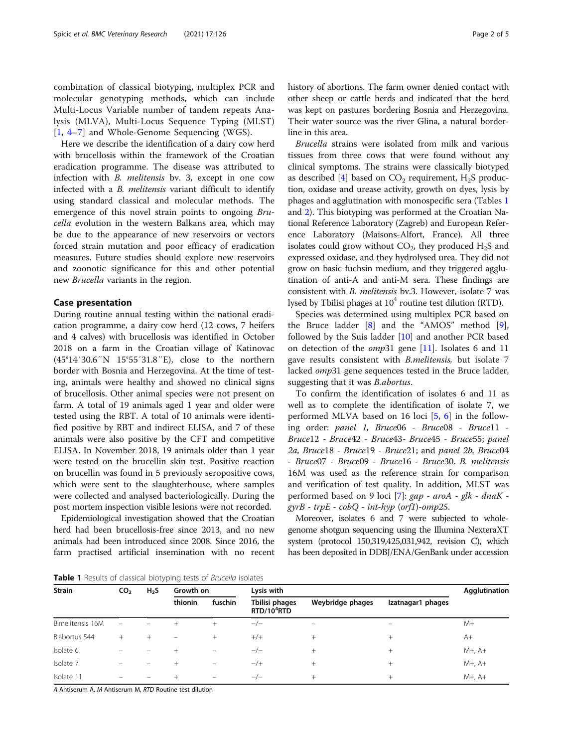combination of classical biotyping, multiplex PCR and molecular genotyping methods, which can include Multi-Locus Variable number of tandem repeats Analysis (MLVA), Multi-Locus Sequence Typing (MLST) [[1,](#page-4-0) [4](#page-4-0)–[7](#page-4-0)] and Whole-Genome Sequencing (WGS).

Here we describe the identification of a dairy cow herd with brucellosis within the framework of the Croatian eradication programme. The disease was attributed to infection with B. melitensis bv. 3, except in one cow infected with a B. melitensis variant difficult to identify using standard classical and molecular methods. The emergence of this novel strain points to ongoing Brucella evolution in the western Balkans area, which may be due to the appearance of new reservoirs or vectors forced strain mutation and poor efficacy of eradication measures. Future studies should explore new reservoirs and zoonotic significance for this and other potential new Brucella variants in the region.

#### Case presentation

During routine annual testing within the national eradication programme, a dairy cow herd (12 cows, 7 heifers and 4 calves) with brucellosis was identified in October 2018 on a farm in the Croatian village of Katinovac (45°14′30.6″N 15°55′31.8″E), close to the northern border with Bosnia and Herzegovina. At the time of testing, animals were healthy and showed no clinical signs of brucellosis. Other animal species were not present on farm. A total of 19 animals aged 1 year and older were tested using the RBT. A total of 10 animals were identified positive by RBT and indirect ELISA, and 7 of these animals were also positive by the CFT and competitive ELISA. In November 2018, 19 animals older than 1 year were tested on the brucellin skin test. Positive reaction on brucellin was found in 5 previously seropositive cows, which were sent to the slaughterhouse, where samples were collected and analysed bacteriologically. During the post mortem inspection visible lesions were not recorded.

Epidemiological investigation showed that the Croatian herd had been brucellosis-free since 2013, and no new animals had been introduced since 2008. Since 2016, the farm practised artificial insemination with no recent history of abortions. The farm owner denied contact with other sheep or cattle herds and indicated that the herd was kept on pastures bordering Bosnia and Herzegovina. Their water source was the river Glina, a natural borderline in this area.

Brucella strains were isolated from milk and various tissues from three cows that were found without any clinical symptoms. The strains were classically biotyped as described  $[4]$  $[4]$  $[4]$  based on  $CO<sub>2</sub>$  requirement, H<sub>2</sub>S production, oxidase and urease activity, growth on dyes, lysis by phages and agglutination with monospecific sera (Tables 1 and [2](#page-3-0)). This biotyping was performed at the Croatian National Reference Laboratory (Zagreb) and European Reference Laboratory (Maisons-Alfort, France). All three isolates could grow without  $CO<sub>2</sub>$ , they produced  $H<sub>2</sub>S$  and expressed oxidase, and they hydrolysed urea. They did not grow on basic fuchsin medium, and they triggered agglutination of anti-A and anti-M sera. These findings are consistent with B. melitensis bv.3. However, isolate 7 was lysed by Tbilisi phages at  $10<sup>4</sup>$  routine test dilution (RTD).

Species was determined using multiplex PCR based on the Bruce ladder [\[8](#page-4-0)] and the "AMOS" method [\[9](#page-4-0)], followed by the Suis ladder [\[10](#page-4-0)] and another PCR based on detection of the  $omp31$  gene [\[11](#page-4-0)]. Isolates 6 and 11 gave results consistent with B.melitensis, but isolate 7 lacked omp31 gene sequences tested in the Bruce ladder, suggesting that it was B.abortus.

To confirm the identification of isolates 6 and 11 as well as to complete the identification of isolate 7, we performed MLVA based on 16 loci [\[5](#page-4-0), [6\]](#page-4-0) in the following order: panel 1, Bruce06 - Bruce08 - Bruce11 - Bruce12 - Bruce42 - Bruce43- Bruce45 - Bruce55; panel 2a, Bruce18 - Bruce19 - Bruce21; and panel 2b, Bruce04 - Bruce07 - Bruce09 - Bruce16 - Bruce30. B. melitensis 16M was used as the reference strain for comparison and verification of test quality. In addition, MLST was performed based on 9 loci [\[7](#page-4-0)]: gap - aroA - glk - dnaK  $gyrB$  -  $trpE$  -  $cobQ$  -  $int-hyp$  (orf1)-omp25.

Moreover, isolates 6 and 7 were subjected to wholegenome shotgun sequencing using the Illumina NexteraXT system (protocol 150,319,425,031,942, revision C), which has been deposited in DDBJ/ENA/GenBank under accession

Table 1 Results of classical biotyping tests of Brucella isolates

| <b>Strain</b>    | CO <sub>2</sub>          | H <sub>2</sub> S | Growth on                |                          | Lysis with                                | Agglutination    |                   |             |
|------------------|--------------------------|------------------|--------------------------|--------------------------|-------------------------------------------|------------------|-------------------|-------------|
|                  |                          |                  | thionin                  | fuschin                  | Tbilisi phages<br>RTD/10 <sup>4</sup> RTD | Weybridge phages | Izatnagar1 phages |             |
| B.melitensis 16M |                          |                  |                          | $^{+}$                   | $-/-$                                     |                  |                   | $M+$        |
| B.abortus 544    | $^{+}$                   | $^{+}$           | $\overline{\phantom{0}}$ | $^{+}$                   | $+/+$                                     | $^{+}$           | $^{+}$            | A+          |
| Isolate 6        |                          |                  | $^{+}$                   | $\overline{\phantom{m}}$ | $-/-$                                     | $^{+}$           | $^{+}$            | $M+$ , $A+$ |
| Isolate 7        |                          |                  | $^{+}$                   | $\equiv$                 | $-/+$                                     | $^{+}$           | $^{+}$            | $M+$ , $A+$ |
| Isolate 11       | $\overline{\phantom{0}}$ |                  | $^{+}$                   | $\overline{\phantom{m}}$ | $-\prime -$                               | $^{+}$           | $^{+}$            | $M+$ , $A+$ |

A Antiserum A, M Antiserum M, RTD Routine test dilution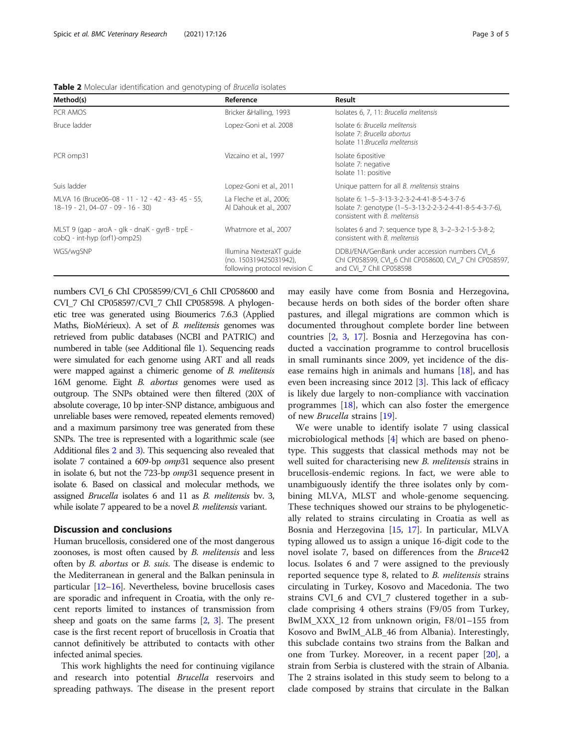<span id="page-3-0"></span>

|  |  |  | Table 2 Molecular identification and genotyping of Brucella isolates |
|--|--|--|----------------------------------------------------------------------|
|  |  |  |                                                                      |

| Method(s)                                                                               | Reference                                                                           | Result                                                                                                                                           |
|-----------------------------------------------------------------------------------------|-------------------------------------------------------------------------------------|--------------------------------------------------------------------------------------------------------------------------------------------------|
| PCR AMOS                                                                                | Bricker & Halling, 1993                                                             | Isolates 6, 7, 11: Brucella melitensis                                                                                                           |
| Bruce ladder                                                                            | Lopez-Goni et al. 2008                                                              | Isolate 6: Brucella melitensis<br>Isolate 7: Brucella abortus<br>Isolate 11: Brucella melitensis                                                 |
| PCR omp31                                                                               | Vizcaino et al., 1997                                                               | Isolate 6:positive<br>Isolate 7: negative<br>Isolate 11: positive                                                                                |
| Suis ladder                                                                             | Lopez-Goni et al., 2011                                                             | Unique pattern for all <i>B. melitensis</i> strains                                                                                              |
| MLVA 16 (Bruce06-08 - 11 - 12 - 42 - 43- 45 - 55,<br>$18-19 - 21, 04-07 - 09 - 16 - 30$ | La Fleche et al., 2006;<br>Al Dahouk et al., 2007                                   | lsolate 6: 1-5-3-13-3-2-3-2-4-41-8-5-4-3-7-6<br>Isolate 7: genotype (1-5-3-13-2-2-3-2-4-41-8-5-4-3-7-6),<br>consistent with <i>B. melitensis</i> |
| MLST 9 (gap - aroA - glk - dnaK - gyrB - trpE -<br>$\cosh Q$ - int-hyp (orf1)-omp25)    | Whatmore et al., 2007                                                               | Isolates 6 and 7: sequence type 8, 3-2-3-2-1-5-3-8-2;<br>consistent with <i>B. melitensis</i>                                                    |
| WGS/wgSNP                                                                               | Illumina NexteraXT guide<br>(no. 150319425031942),<br>following protocol revision C | DDBJ/ENA/GenBank under accession numbers CVI 6<br>Chi CP058599, CVI 6 Chii CP058600, CVI 7 Chi CP058597,<br>and CVi 7 Chll CP058598              |

numbers CVI\_6 ChI CP058599/CVI\_6 ChII CP058600 and CVI\_7 ChI CP058597/CVI\_7 ChII CP058598. A phylogenetic tree was generated using Bioumerics 7.6.3 (Applied Maths, BioMérieux). A set of B. melitensis genomes was retrieved from public databases (NCBI and PATRIC) and numbered in table (see Additional file [1](#page-4-0)). Sequencing reads were simulated for each genome using ART and all reads were mapped against a chimeric genome of B. melitensis 16M genome. Eight B. abortus genomes were used as outgroup. The SNPs obtained were then filtered (20X of absolute coverage, 10 bp inter-SNP distance, ambiguous and unreliable bases were removed, repeated elements removed) and a maximum parsimony tree was generated from these SNPs. The tree is represented with a logarithmic scale (see Additional files [2](#page-4-0) and [3](#page-4-0)). This sequencing also revealed that isolate 7 contained a 609-bp omp31 sequence also present in isolate 6, but not the 723-bp omp31 sequence present in isolate 6. Based on classical and molecular methods, we assigned Brucella isolates 6 and 11 as B. melitensis bv. 3, while isolate 7 appeared to be a novel *B. melitensis* variant.

#### Discussion and conclusions

Human brucellosis, considered one of the most dangerous zoonoses, is most often caused by B. melitensis and less often by B. abortus or B. suis. The disease is endemic to the Mediterranean in general and the Balkan peninsula in particular [\[12](#page-4-0)–[16](#page-4-0)]. Nevertheless, bovine brucellosis cases are sporadic and infrequent in Croatia, with the only recent reports limited to instances of transmission from sheep and goats on the same farms [[2,](#page-4-0) [3](#page-4-0)]. The present case is the first recent report of brucellosis in Croatia that cannot definitively be attributed to contacts with other infected animal species.

This work highlights the need for continuing vigilance and research into potential Brucella reservoirs and spreading pathways. The disease in the present report may easily have come from Bosnia and Herzegovina, because herds on both sides of the border often share pastures, and illegal migrations are common which is documented throughout complete border line between countries [[2](#page-4-0), [3](#page-4-0), [17](#page-4-0)]. Bosnia and Herzegovina has conducted a vaccination programme to control brucellosis in small ruminants since 2009, yet incidence of the disease remains high in animals and humans  $[18]$  $[18]$  $[18]$ , and has even been increasing since 2012 [\[3\]](#page-4-0). This lack of efficacy is likely due largely to non-compliance with vaccination programmes  $[18]$  $[18]$  $[18]$ , which can also foster the emergence of new Brucella strains [[19\]](#page-5-0).

We were unable to identify isolate 7 using classical microbiological methods [\[4](#page-4-0)] which are based on phenotype. This suggests that classical methods may not be well suited for characterising new *B. melitensis* strains in brucellosis-endemic regions. In fact, we were able to unambiguously identify the three isolates only by combining MLVA, MLST and whole-genome sequencing. These techniques showed our strains to be phylogenetically related to strains circulating in Croatia as well as Bosnia and Herzegovina [[15,](#page-4-0) [17](#page-4-0)]. In particular, MLVA typing allowed us to assign a unique 16-digit code to the novel isolate 7, based on differences from the Bruce42 locus. Isolates 6 and 7 were assigned to the previously reported sequence type 8, related to *B. melitensis* strains circulating in Turkey, Kosovo and Macedonia. The two strains CVI\_6 and CVI\_7 clustered together in a subclade comprising 4 others strains (F9/05 from Turkey, BwIM\_XXX\_12 from unknown origin, F8/01–155 from Kosovo and BwIM\_ALB\_46 from Albania). Interestingly, this subclade contains two strains from the Balkan and one from Turkey. Moreover, in a recent paper [\[20](#page-5-0)], a strain from Serbia is clustered with the strain of Albania. The 2 strains isolated in this study seem to belong to a clade composed by strains that circulate in the Balkan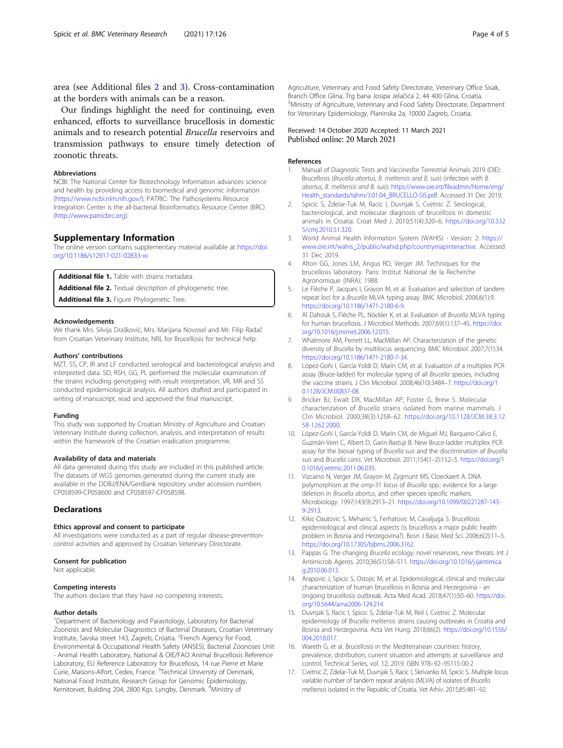<span id="page-4-0"></span>area (see Additional files 2 and 3). Cross-contamination at the borders with animals can be a reason.

Our findings highlight the need for continuing, even enhanced, efforts to surveillance brucellosis in domestic animals and to research potential Brucella reservoirs and transmission pathways to ensure timely detection of zoonotic threats.

#### Abbreviations

NCBI: The National Center for Biotechnology Information advances science and health by providing access to biomedical and genomic information ([https://www.ncbi.nlm.nih.gov/\)](https://www.ncbi.nlm.nih.gov/); PATRIC: The Pathosystems Resource Integration Center is the all-bacterial Bioinformatics Resource Center (BRC) ([http://www.patricbrc.org\)](http://www.patricbrc.org).

#### Supplementary Information

The online version contains supplementary material available at [https://doi.](https://doi.org/10.1186/s12917-021-02833-w) [org/10.1186/s12917-021-02833-w](https://doi.org/10.1186/s12917-021-02833-w).

Additional file 1. Table with strains metadata.

Additional file 2. Textual description of phylogenetic tree.

Additional file 3. Figure Phylogenetic Tree.

#### Acknowledgements

We thank Mrs. Silvija Drašković, Mrs. Marijana Novosel and Mr. Filip Radač from Croatian Veterinary Institute, NRL for Brucellosis for technical help.

#### Authors' contributions

MZT, SS, CP, IR and LF conducted serological and bacteriological analysis and interpreted data. SD, RSH, GG, PL performed the molecular examination of the strains including genotyping with result interpretation. VR, MR and SS conducted epidemiological analysis. All authors drafted and participated in writing of manuscript, read and approved the final manuscript.

#### Funding

This study was supported by Croatian Ministry of Agriculture and Croatian Veterinary Institute during collection, analysis, and interpretation of results within the framework of the Croatian eradication programme.

#### Availability of data and materials

All data generated during this study are included in this published article. The datasets of WGS genomes generated during the current study are available in the DDBJ/ENA/GenBank repository under accession numbers CP058599-CP058600 and CP058597-CP058598.

#### **Declarations**

#### Ethics approval and consent to participate

All investigations were conducted as a part of regular disease-preventioncontrol activities and approved by Croatian Veterinary Directorate.

#### Consent for publication

Not applicable.

#### Competing interests

The authors declare that they have no competing interests.

#### Author details

<sup>1</sup>Department of Bacteriology and Parasitology, Laboratory for Bacterial Zoonosis and Molecular Diagnostics of Bacterial Diseases, Croatian Veterinary Institute, Savska street 143, Zagreb, Croatia. <sup>2</sup>French Agency for Food, Environmental & Occupational Health Safety (ANSES), Bacterial Zoonoses Unit - Animal Health Laboratory, National & OIE/FAO Animal Brucellosis Reference Laboratory, EU Reference Laboratory for Brucellosis, 14 rue Pierre et Marie<br>Curie, Maisons-Alfort, Cedex, France. <sup>3</sup>Technical University of Denmark, National Food Institute, Research Group for Genomic Epidemiology, Kemitorvet, Building 204, 2800 Kgs. Lyngby, Denmark. <sup>4</sup>Ministry of

Agriculture, Veterinary and Food Safety Directorate, Veterinary Office Sisak, Branch Office Glina, Trg bana Josipa Jelačića 2, 44 400 Glina, Croatia. <sup>5</sup> Ministry of Agriculture, Veterinary and Food Safety Directorate, Department for Veterinary Epidemiology, Planinska 2a, 10000 Zagreb, Croatia.

#### Received: 14 October 2020 Accepted: 11 March 2021 Published online: 20 March 2021

#### References

- 1. Manual of Diagnostic Tests and Vaccinesfor Terrestrial Animals 2019 (OIE): Brucellosis (Brucella abortus, B. melitensis and B. suis) (infection with B. abortus, B. melitensis and B. suis): [https://www.oie.int/fileadmin/Home/eng/](https://www.oie.int/fileadmin/Home/eng/Health_standards/tahm/3.01.04_BRUCELLO-SIS.pdf) [Health\\_standards/tahm/3.01.04\\_BRUCELLO-SIS.pdf.](https://www.oie.int/fileadmin/Home/eng/Health_standards/tahm/3.01.04_BRUCELLO-SIS.pdf) Accessed 31 Dec 2019.
- Spicic S, Zdelar-Tuk M, Racic I, Duvnjak S, Cvetnic Z. Serological bacteriological, and molecular diagnosis of brucellosis in domestic animals in Croatia. Croat Med J. 2010;51(4):320–6. [https://doi.org/10.332](https://doi.org/10.3325/cmj.2010.51.320) [5/cmj.2010.51.320.](https://doi.org/10.3325/cmj.2010.51.320)
- 3. World Animal Health Information System (WAHIS) Version: 2: [https://](https://www.oie.int/wahis_2/public/wahid.php/countrymapinteractive) [www.oie.int/wahis\\_2/public/wahid.php/countrymapinteractive](https://www.oie.int/wahis_2/public/wahid.php/countrymapinteractive). Accessed 31 Dec 2019.
- 4. Alton GG, Jones LM, Angus RD, Verger JM. Techniques for the brucellosis laboratory. Paris: Institut National de la Recherche Agronomique (INRA); 1988.
- 5. Le Flèche P, Jacques I, Grayon M, et al. Evaluation and selection of tandem repeat loci for a Brucella MLVA typing assay. BMC Microbiol. 2006;6(1):9. <https://doi.org/10.1186/1471-2180-6-9>.
- 6. Al Dahouk S, Flèche PL, Nöckler K, et al. Evaluation of Brucella MLVA typing for human brucellosis. J Microbiol Methods. 2007;69(1):137–45. [https://doi.](https://doi.org/10.1016/j.mimet.2006.12.015) [org/10.1016/j.mimet.2006.12.015.](https://doi.org/10.1016/j.mimet.2006.12.015)
- 7. Whatmore AM, Perrett LL, MacMillan AP. Characterization of the genetic diversity of Brucella by multilocus sequencing. BMC Microbiol. 2007;7(1):34. [https://doi.org/10.1186/1471-2180-7-34.](https://doi.org/10.1186/1471-2180-7-34)
- 8. López-Goñi I, García-Yoldi D, Marín CM, et al. Evaluation of a multiplex PCR assay (Bruce-ladder) for molecular typing of all Brucella species, including the vaccine strains. J Clin Microbiol. 2008;46(10):3484–7. [https://doi.org/1](https://doi.org/10.1128/JCM.00837-08) [0.1128/JCM.00837-08.](https://doi.org/10.1128/JCM.00837-08)
- 9. Bricker BJ, Ewalt DR, MacMillan AP, Foster G, Brew S. Molecular characterization of Brucella strains isolated from marine mammals. J Clin Microbiol. 2000;38(3):1258–62. [https://doi.org/10.1128/JCM.38.3.12](https://doi.org/10.1128/JCM.38.3.1258-1262.2000) [58-1262.2000](https://doi.org/10.1128/JCM.38.3.1258-1262.2000).
- 10. López-Goñi I, García-Yoldi D, Marín CM, de Miguel MJ, Barquero-Calvo E, Guzmán-Verri C, Albert D, Garin-Bastuji B. New Bruce-ladder multiplex PCR assay for the biovar typing of Brucella suis and the discrimination of Brucella suis and Brucella canis. Vet Microbiol. 2011;154(1–2):152–5. [https://doi.org/1](https://doi.org/10.1016/j.vetmic.2011.06.035) [0.1016/j.vetmic.2011.06.035.](https://doi.org/10.1016/j.vetmic.2011.06.035)
- 11. Vizcaíno N, Verger JM, Grayon M, Zygmunt MS, Cloeckaert A. DNA polymorphism at the omp-31 locus of Brucella spp.: evidence for a large deletion in Brucella abortus, and other species-specific markers Microbiology. 1997;143(9):2913–21. [https://doi.org/10.1099/00221287-143-](https://doi.org/10.1099/00221287-143-9-2913) [9-2913.](https://doi.org/10.1099/00221287-143-9-2913)
- 12. Krkic-Dautovic S, Mehanic S, Ferhatovic M, Cavaljuga S. Brucellosis epidemiological and clinical aspects (is brucellosis a major public health problem in Bosnia and Herzegovina?). Bosn J Basic Med Sci. 2006;6(2):11–5. [https://doi.org/10.17305/bjbms.2006.3162.](https://doi.org/10.17305/bjbms.2006.3162)
- 13. Pappas G. The changing Brucella ecology: novel reservoirs, new threats. Int J Antimicrob Agents. 2010;36(S1):S8–S11. [https://doi.org/10.1016/j.ijantimica](https://doi.org/10.1016/j.ijantimicag.2010.06.013) [g.2010.06.013.](https://doi.org/10.1016/j.ijantimicag.2010.06.013)
- 14. Arapovic J, Spicic S, Ostojic M, et al. Epidemiological, clinical and molecular characterization of human brucellosis in Bosnia and Herzegovina - an ongoing brucellosis outbreak. Acta Med Acad. 2018;47(1):50–60. [https://doi.](https://doi.org/10.5644/ama2006-124.214) [org/10.5644/ama2006-124.214.](https://doi.org/10.5644/ama2006-124.214)
- 15. Duvnjak S, Racic I, Spicic S, Zdelar-Tuk M, Reil I, Cvetnic Z. Molecular epidemiology of Brucella melitensis strains causing outbreaks in Croatia and Bosnia and Herzegovina. Acta Vet Hung. 2018;66(2). [https://doi.org/10.1556/](https://doi.org/10.1556/004.2018.017) [004.2018.017](https://doi.org/10.1556/004.2018.017).
- 16. Wareth G, et al. Brucellosis in the Mediterranean countries: history, prevalence, distribution, current situation and attempts at surveillance and control, Technical Series, vol. 12; 2019. ISBN 978–92–95115-00-2
- 17. Cvetnic Z, Zdelar-Tuk M, Duvnjak S, Racic I, Skrivanko M, Spicic S. Multiple locus variable number of tandem repeat analysis (MLVA) of isolates of Brucella melitensis isolated in the Republic of Croatia. Vet Arhiv. 2015;85:481–92.